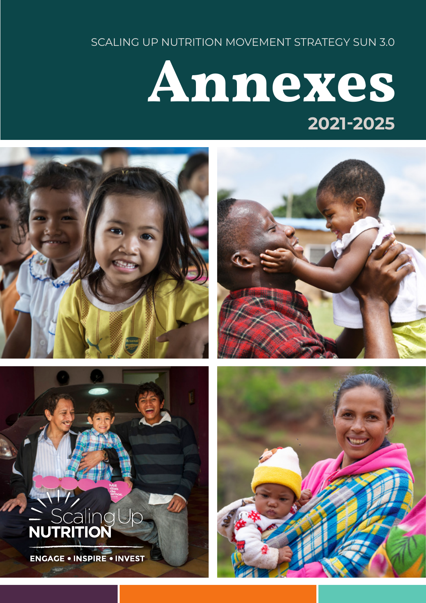SCALING UP NUTRITION MOVEMENT STRATEGY SUN 3.0

### Annexes **2021-2025**









ENGAGE . INSPIRE . INVEST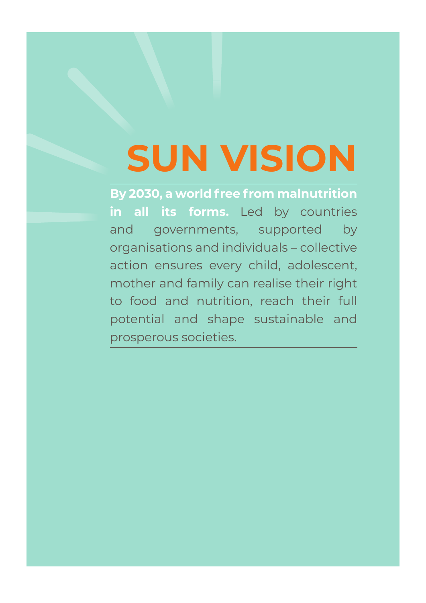# **SUN VISION**

**By 2030, a world free from malnutrition in all its forms.** Led by countries and governments, supported by organisations and individuals – collective action ensures every child, adolescent, mother and family can realise their right to food and nutrition, reach their full potential and shape sustainable and prosperous societies.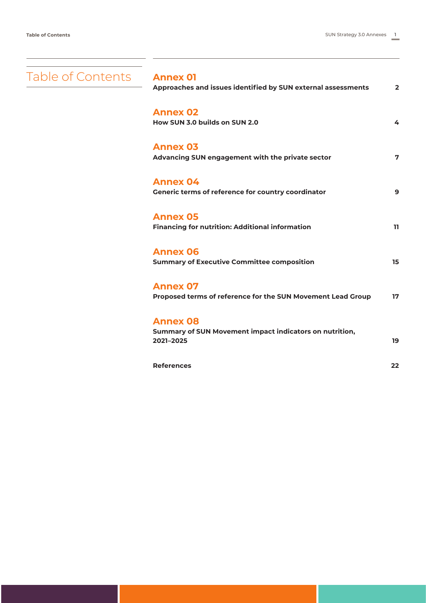<span id="page-2-0"></span>

| Table of Contents Annex 01 | Approaches and issues identified by SUN external assessments                            | $\overline{2}$ |
|----------------------------|-----------------------------------------------------------------------------------------|----------------|
|                            | <b>Annex 02</b><br>How SUN 3.0 builds on SUN 2.0                                        | 4              |
|                            | <b>Annex 03</b><br>Advancing SUN engagement with the private sector                     | 7              |
|                            | <b>Annex 04</b><br>Generic terms of reference for country coordinator                   | 9              |
|                            | <b>Annex 05</b><br><b>Financing for nutrition: Additional information</b>               | 11             |
|                            | <b>Annex 06</b><br><b>Summary of Executive Committee composition</b>                    | 15             |
|                            | <b>Annex 07</b><br>Proposed terms of reference for the SUN Movement Lead Group          | 17             |
|                            | <b>Annex 08</b><br>Summary of SUN Movement impact indicators on nutrition,<br>2021-2025 | 19             |
|                            | <b>References</b>                                                                       | 22             |
|                            |                                                                                         |                |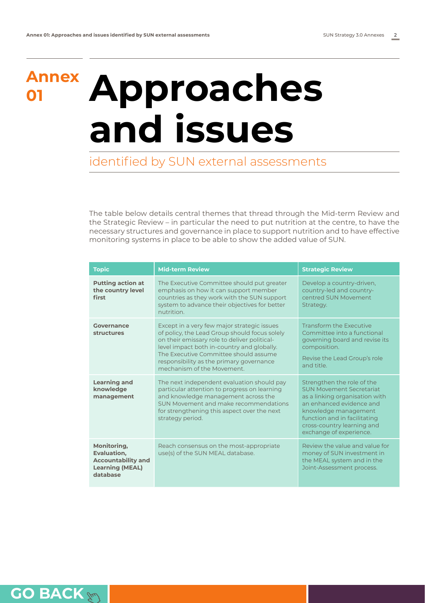### <span id="page-3-0"></span>**Annex**

## **<sup>01</sup> Approaches and issues**

identified by SUN external assessments

The table below details central themes that thread through the Mid-term Review and the Strategic Review – in particular the need to put nutrition at the centre, to have the necessary structures and governance in place to support nutrition and to have effective monitoring systems in place to be able to show the added value of SUN.

| <b>Topic</b>                                                                                  | <b>Mid-term Review</b>                                                                                                                                                                                                                                                                                        | <b>Strategic Review</b>                                                                                                                                                                                                                      |  |
|-----------------------------------------------------------------------------------------------|---------------------------------------------------------------------------------------------------------------------------------------------------------------------------------------------------------------------------------------------------------------------------------------------------------------|----------------------------------------------------------------------------------------------------------------------------------------------------------------------------------------------------------------------------------------------|--|
| <b>Putting action at</b><br>the country level<br>first                                        | The Executive Committee should put greater<br>emphasis on how it can support member<br>countries as they work with the SUN support<br>system to advance their objectives for better<br>nutrition.                                                                                                             | Develop a country-driven,<br>country-led and country-<br>centred SUN Movement<br>Strategy.                                                                                                                                                   |  |
| Governance<br><b>structures</b>                                                               | Except in a very few major strategic issues<br>of policy, the Lead Group should focus solely<br>on their emissary role to deliver political-<br>level impact both in-country and globally.<br>The Executive Committee should assume<br>responsibility as the primary governance<br>mechanism of the Movement. | <b>Transform the Executive</b><br>Committee into a functional<br>governing board and revise its<br>composition.<br>Revise the Lead Group's role<br>and title.                                                                                |  |
| <b>Learning and</b><br>knowledge<br>management                                                | The next independent evaluation should pay<br>particular attention to progress on learning<br>and knowledge management across the<br>SUN Movement and make recommendations<br>for strengthening this aspect over the next<br>strategy period.                                                                 | Strengthen the role of the<br><b>SUN Movement Secretariat</b><br>as a linking organisation with<br>an enhanced evidence and<br>knowledge management<br>function and in facilitating<br>cross-country learning and<br>exchange of experience. |  |
| Monitoring,<br>Evaluation,<br><b>Accountability and</b><br><b>Learning (MEAL)</b><br>database | Reach consensus on the most-appropriate<br>use(s) of the SUN MEAL database.                                                                                                                                                                                                                                   | Review the value and value for<br>money of SUN investment in<br>the MEAL system and in the<br>Joint-Assessment process.                                                                                                                      |  |

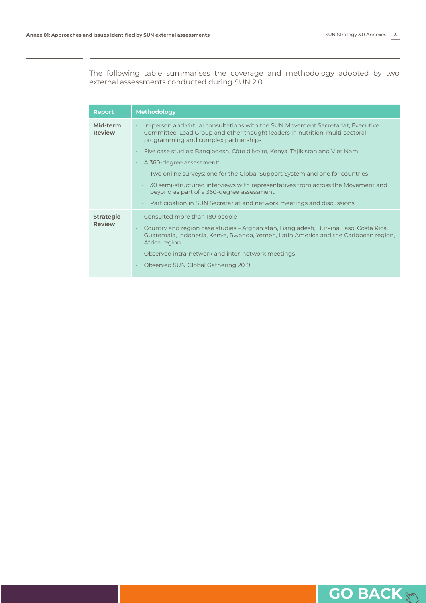The following table summarises the coverage and methodology adopted by two external assessments conducted during SUN 2.0.

| <b>Report</b>                     | <b>Methodology</b>                                                                                                                                                                                                      |
|-----------------------------------|-------------------------------------------------------------------------------------------------------------------------------------------------------------------------------------------------------------------------|
| Mid-term<br><b>Review</b>         | In-person and virtual consultations with the SUN Movement Secretariat, Executive<br>$\bullet$ .<br>Committee, Lead Group and other thought leaders in nutrition, multi-sectoral<br>programming and complex partnerships |
|                                   | Five case studies: Bangladesh, Côte d'Ivoire, Kenya, Tajikistan and Viet Nam                                                                                                                                            |
|                                   | A 360-degree assessment:                                                                                                                                                                                                |
|                                   | Two online surveys: one for the Global Support System and one for countries<br>٠                                                                                                                                        |
|                                   | 30 semi-structured interviews with representatives from across the Movement and<br>$\bullet$<br>beyond as part of a 360-degree assessment                                                                               |
|                                   | Participation in SUN Secretariat and network meetings and discussions<br>$\bullet$                                                                                                                                      |
| <b>Strategic</b><br><b>Review</b> | Consulted more than 180 people<br>$\mathbf{a}$                                                                                                                                                                          |
|                                   | Country and region case studies – Afghanistan, Bangladesh, Burkina Faso, Costa Rica,<br>Guatemala, Indonesia, Kenya, Rwanda, Yemen, Latin America and the Caribbean region,<br>Africa region                            |
|                                   | Observed intra-network and inter-network meetings                                                                                                                                                                       |
|                                   | Observed SUN Global Gathering 2019                                                                                                                                                                                      |

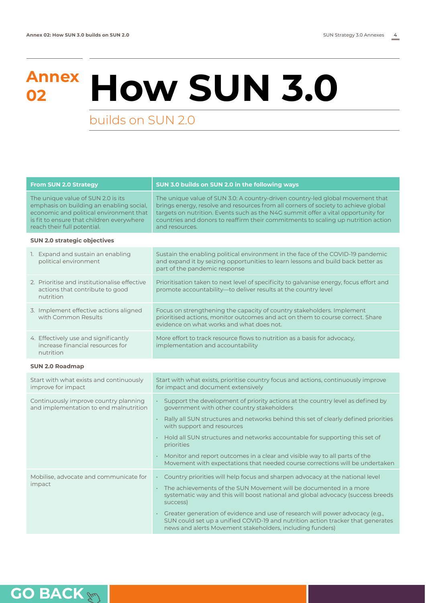# <span id="page-5-0"></span>**Annex <sup>02</sup> How SUN 3.0**

builds on SUN 2.0

| <b>From SUN 2.0 Strategy</b>                                                                                                                                                                          | SUN 3.0 builds on SUN 2.0 in the following ways                                                                                                                                                                                                                                                                                                                  |  |  |
|-------------------------------------------------------------------------------------------------------------------------------------------------------------------------------------------------------|------------------------------------------------------------------------------------------------------------------------------------------------------------------------------------------------------------------------------------------------------------------------------------------------------------------------------------------------------------------|--|--|
| The unique value of SUN 2.0 is its<br>emphasis on building an enabling social,<br>economic and political environment that<br>is fit to ensure that children everywhere<br>reach their full potential. | The unique value of SUN 3.0: A country-driven country-led global movement that<br>brings energy, resolve and resources from all corners of society to achieve global<br>targets on nutrition. Events such as the N4G summit offer a vital opportunity for<br>countries and donors to reaffirm their commitments to scaling up nutrition action<br>and resources. |  |  |
| <b>SUN 2.0 strategic objectives</b>                                                                                                                                                                   |                                                                                                                                                                                                                                                                                                                                                                  |  |  |
| 1. Expand and sustain an enabling<br>political environment                                                                                                                                            | Sustain the enabling political environment in the face of the COVID-19 pandemic<br>and expand it by seizing opportunities to learn lessons and build back better as<br>part of the pandemic response                                                                                                                                                             |  |  |
| 2. Prioritise and institutionalise effective<br>actions that contribute to good<br>nutrition                                                                                                          | Prioritisation taken to next level of specificity to galvanise energy, focus effort and<br>promote accountability-to deliver results at the country level                                                                                                                                                                                                        |  |  |
| 3. Implement effective actions aligned<br>with Common Results                                                                                                                                         | Focus on strengthening the capacity of country stakeholders. Implement<br>prioritised actions, monitor outcomes and act on them to course correct. Share<br>evidence on what works and what does not.                                                                                                                                                            |  |  |
| 4. Effectively use and significantly<br>increase financial resources for<br>nutrition                                                                                                                 | More effort to track resource flows to nutrition as a basis for advocacy,<br>implementation and accountability                                                                                                                                                                                                                                                   |  |  |
| <b>SUN 2.0 Roadmap</b>                                                                                                                                                                                |                                                                                                                                                                                                                                                                                                                                                                  |  |  |
| Start with what exists and continuously<br>improve for impact                                                                                                                                         | Start with what exists, prioritise country focus and actions, continuously improve<br>for impact and document extensively                                                                                                                                                                                                                                        |  |  |
| Continuously improve country planning<br>and implementation to end malnutrition                                                                                                                       | · Support the development of priority actions at the country level as defined by<br>government with other country stakeholders                                                                                                                                                                                                                                   |  |  |
|                                                                                                                                                                                                       | Rally all SUN structures and networks behind this set of clearly defined priorities<br>with support and resources                                                                                                                                                                                                                                                |  |  |
|                                                                                                                                                                                                       | • Hold all SUN structures and networks accountable for supporting this set of<br>priorities                                                                                                                                                                                                                                                                      |  |  |
|                                                                                                                                                                                                       | Monitor and report outcomes in a clear and visible way to all parts of the<br>k.<br>Movement with expectations that needed course corrections will be undertaken                                                                                                                                                                                                 |  |  |
| Mobilise, advocate and communicate for                                                                                                                                                                | Country priorities will help focus and sharpen advocacy at the national level<br>$\epsilon$                                                                                                                                                                                                                                                                      |  |  |
| impact                                                                                                                                                                                                | • The achievements of the SUN Movement will be documented in a more<br>systematic way and this will boost national and global advocacy (success breeds<br>success)                                                                                                                                                                                               |  |  |
|                                                                                                                                                                                                       | Greater generation of evidence and use of research will power advocacy (e.g.,<br>¥,<br>SUN could set up a unified COVID-19 and nutrition action tracker that generates<br>news and alerts Movement stakeholders, including funders)                                                                                                                              |  |  |

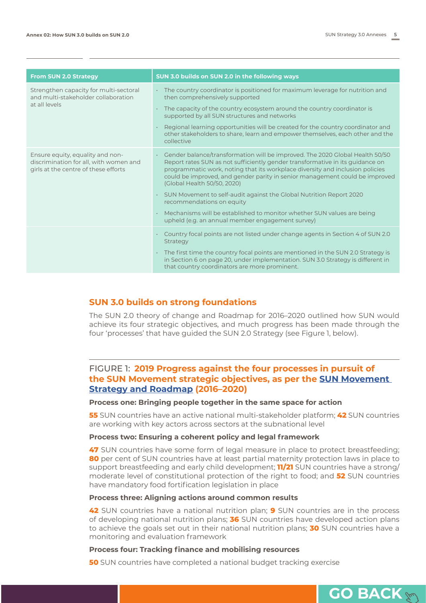| <b>From SUN 2.0 Strategy</b>                                                                                       | SUN 3.0 builds on SUN 2.0 in the following ways                                                                                                                                                                                                                                                                                                                                                                                                                                                                                                                                                  |  |
|--------------------------------------------------------------------------------------------------------------------|--------------------------------------------------------------------------------------------------------------------------------------------------------------------------------------------------------------------------------------------------------------------------------------------------------------------------------------------------------------------------------------------------------------------------------------------------------------------------------------------------------------------------------------------------------------------------------------------------|--|
| Strengthen capacity for multi-sectoral<br>and multi-stakeholder collaboration<br>at all levels                     | • The country coordinator is positioned for maximum leverage for nutrition and<br>then comprehensively supported<br>The capacity of the country ecosystem around the country coordinator is<br>supported by all SUN structures and networks<br>Regional learning opportunities will be created for the country coordinator and<br>other stakeholders to share, learn and empower themselves, each other and the<br>collective                                                                                                                                                                    |  |
| Ensure equity, equality and non-<br>discrimination for all, with women and<br>girls at the centre of these efforts | Gender balance/transformation will be improved. The 2020 Global Health 50/50<br>Report rates SUN as not sufficiently gender transformative in its guidance on<br>programmatic work, noting that its workplace diversity and inclusion policies<br>could be improved, and gender parity in senior management could be improved<br>(Global Health 50/50, 2020)<br>• SUN Movement to self-audit against the Global Nutrition Report 2020<br>recommendations on equity<br>Mechanisms will be established to monitor whether SUN values are being<br>upheld (e.g. an annual member engagement survey) |  |
|                                                                                                                    | Country focal points are not listed under change agents in Section 4 of SUN 2.0<br>Strategy<br>$\cdot$ The first time the country focal points are mentioned in the SUN 2.0 Strategy is<br>in Section 6 on page 20, under implementation. SUN 3.0 Strategy is different in<br>that country coordinators are more prominent.                                                                                                                                                                                                                                                                      |  |

### **SUN 3.0 builds on strong foundations**

The SUN 2.0 theory of change and Roadmap for 2016–2020 outlined how SUN would achieve its four strategic objectives, and much progress has been made through the four 'processes' that have guided the SUN 2.0 Strategy (see Figure 1, below).

### FIGURE 1: **2019 Progress against the four processes in pursuit of the SUN Movement strategic objectives, as per the [SUN Movement](https://scalingupnutrition.org/about-sun/the-sun-movement-strategy/)  [Strategy and Roadmap](https://scalingupnutrition.org/about-sun/the-sun-movement-strategy/) (2016–2020)**

### **Process one: Bringing people together in the same space for action**

**55** SUN countries have an active national multi-stakeholder platform; **42** SUN countries are working with key actors across sectors at the subnational level

#### **Process two: Ensuring a coherent policy and legal framework**

**47** SUN countries have some form of legal measure in place to protect breastfeeding; **80** per cent of SUN countries have at least partial maternity protection laws in place to support breastfeeding and early child development; **11/21** SUN countries have a strong/ moderate level of constitutional protection of the right to food; and **52** SUN countries have mandatory food fortification legislation in place

### **Process three: Aligning actions around common results**

**42** SUN countries have a national nutrition plan; **9** SUN countries are in the process of developing national nutrition plans; **36** SUN countries have developed action plans to achieve the goals set out in their national nutrition plans; **30** SUN countries have a monitoring and evaluation framework

#### **Process four: Tracking finance and mobilising resources**

**50** SUN countries have completed a national budget tracking exercise

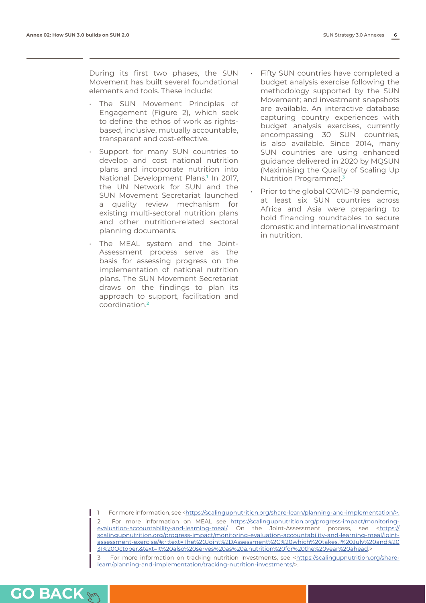During its first two phases, the SUN Movement has built several foundational elements and tools. These include:

- The SUN Movement Principles of Engagement (Figure 2), which seek to define the ethos of work as rightsbased, inclusive, mutually accountable, transparent and cost-effective.
- Support for many SUN countries to develop and cost national nutrition plans and incorporate nutrition into National Development Plans.**<sup>1</sup>** In 2017, the UN Network for SUN and the SUN Movement Secretariat launched a quality review mechanism for existing multi-sectoral nutrition plans and other nutrition-related sectoral planning documents.
- The MEAL system and the Joint-Assessment process serve as the basis for assessing progress on the implementation of national nutrition plans. The SUN Movement Secretariat draws on the findings to plan its approach to support, facilitation and coordination.**<sup>2</sup>**
- Fifty SUN countries have completed a budget analysis exercise following the methodology supported by the SUN Movement; and investment snapshots are available. An interactive database capturing country experiences with budget analysis exercises, currently encompassing 30 SUN countries, is also available. Since 2014, many SUN countries are using enhanced guidance delivered in 2020 by MQSUN (Maximising the Quality of Scaling Up Nutrition Programme).**<sup>3</sup>**
- Prior to the global COVID-19 pandemic, at least six SUN countries across Africa and Asia were preparing to hold financing roundtables to secure domestic and international investment in nutrition.

1 For more information, see <https://scalingupnutrition.org/share-learn/planning-and-implementation/>. 2 For more information on MEAL see [https://scalingupnutrition.org/progress-impact/monitoring](https://scalingupnutrition.org/progress-impact/monitoring-evaluation-accountability-and-learning-mea)[evaluation-accountability-and-learning-meal/.](https://scalingupnutrition.org/progress-impact/monitoring-evaluation-accountability-and-learning-mea) On the Joint-Assessment process, see [<https://](https://scalingupnutrition.org/progress-impact/monitoring-evaluation-accountability-and-learning-meal/joint-assessment-exercise/#:~:text=The%20Joint%2DAssessment%2C%20which%20takes,1%20July%20and%2031%20October.&text=It%20also%20serves%20as%20a,nutrition%) [scalingupnutrition.org/progress-impact/monitoring-evaluation-accountability-and-learning-meal/joint](https://scalingupnutrition.org/progress-impact/monitoring-evaluation-accountability-and-learning-meal/joint-assessment-exercise/#:~:text=The%20Joint%2DAssessment%2C%20which%20takes,1%20July%20and%2031%20October.&text=It%20also%20serves%20as%20a,nutrition%)[assessment-exercise/#:~:text=The%20Joint%2DAssessment%2C%20which%20takes,1%20July%20and%20](https://scalingupnutrition.org/progress-impact/monitoring-evaluation-accountability-and-learning-meal/joint-assessment-exercise/#:~:text=The%20Joint%2DAssessment%2C%20which%20takes,1%20July%20and%2031%20October.&text=It%20also%20serves%20as%20a,nutrition%) [31%20October.&text=It%20also%20serves%20as%20a,nutrition%20for%20the%20year%20ahead.](https://scalingupnutrition.org/progress-impact/monitoring-evaluation-accountability-and-learning-meal/joint-assessment-exercise/#:~:text=The%20Joint%2DAssessment%2C%20which%20takes,1%20July%20and%2031%20October.&text=It%20also%20serves%20as%20a,nutrition%)>

3 For more information on tracking nutrition investments, see [<https://scalingupnutrition.org/share](https://scalingupnutrition.org/share-learn/planning-and-implementation/tracking-nutrition-investments/)[learn/planning-and-implementation/tracking-nutrition-investments/](https://scalingupnutrition.org/share-learn/planning-and-implementation/tracking-nutrition-investments/)>.

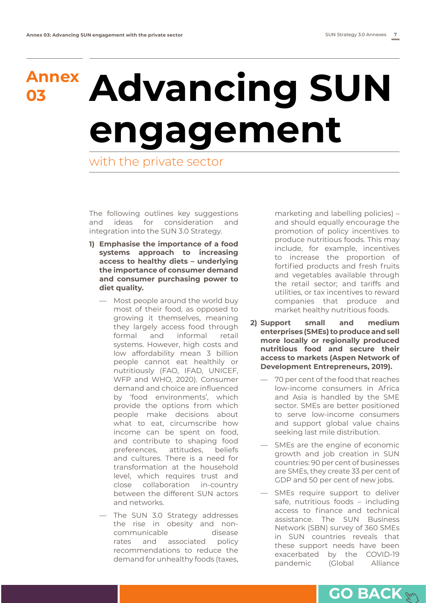# <span id="page-8-0"></span>**Annex <sup>03</sup> Advancing SUN engagement**

with the private sector

The following outlines key suggestions and ideas for consideration and integration into the SUN 3.0 Strategy.

- **1) Emphasise the importance of a food systems approach to increasing access to healthy diets – underlying the importance of consumer demand and consumer purchasing power to diet quality.** 
	- Most people around the world buy most of their food, as opposed to growing it themselves, meaning they largely access food through formal and informal retail systems. However, high costs and low affordability mean 3 billion people cannot eat healthily or nutritiously (FAO, IFAD, UNICEF, WFP and WHO, 2020). Consumer demand and choice are influenced by 'food environments', which provide the options from which people make decisions about what to eat, circumscribe how income can be spent on food, and contribute to shaping food preferences, attitudes, beliefs and cultures. There is a need for transformation at the household level, which requires trust and close collaboration in-country between the different SUN actors and networks.
	- The SUN 3.0 Strategy addresses the rise in obesity and noncommunicable disease rates and associated policy recommendations to reduce the demand for unhealthy foods (taxes,

marketing and labelling policies) – and should equally encourage the promotion of policy incentives to produce nutritious foods. This may include, for example, incentives to increase the proportion of fortified products and fresh fruits and vegetables available through the retail sector; and tariffs and utilities, or tax incentives to reward companies that produce and market healthy nutritious foods.

- **2) Support small and medium enterprises (SMEs) to produce and sell more locally or regionally produced nutritious food and secure their access to markets (Aspen Network of Development Entrepreneurs, 2019).** 
	- 70 per cent of the food that reaches low-income consumers in Africa and Asia is handled by the SME sector. SMEs are better positioned to serve low-income consumers and support global value chains seeking last mile distribution.
	- SMEs are the engine of economic growth and job creation in SUN countries: 90 per cent of businesses are SMEs, they create 33 per cent of GDP and 50 per cent of new jobs.
	- SMEs require support to deliver safe, nutritious foods – including access to finance and technical assistance. The SUN Business Network (SBN) survey of 360 SMEs in SUN countries reveals that these support needs have been exacerbated by the COVID-19 pandemic (Global Alliance

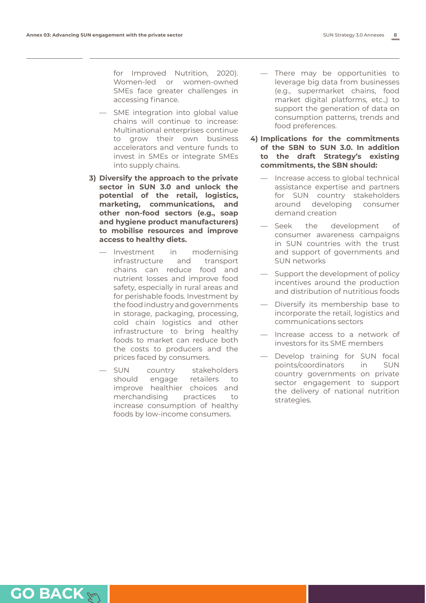for Improved Nutrition, 2020). Women-led or women-owned SMEs face greater challenges in accessing finance.

- SME integration into global value chains will continue to increase: Multinational enterprises continue to grow their own business accelerators and venture funds to invest in SMEs or integrate SMEs into supply chains.
- **3) Diversify the approach to the private sector in SUN 3.0 and unlock the potential of the retail, logistics, marketing, communications, and other non-food sectors (e.g., soap and hygiene product manufacturers) to mobilise resources and improve access to healthy diets.**
	- Investment in modernising infrastructure and transport chains can reduce food and nutrient losses and improve food safety, especially in rural areas and for perishable foods. Investment by the food industry and governments in storage, packaging, processing, cold chain logistics and other infrastructure to bring healthy foods to market can reduce both the costs to producers and the prices faced by consumers.
	- SUN country stakeholders should engage retailers to improve healthier choices and merchandising practices to increase consumption of healthy foods by low-income consumers.
- There may be opportunities to leverage big data from businesses (e.g., supermarket chains, food market digital platforms, etc.,) to support the generation of data on consumption patterns, trends and food preferences.
- **4) Implications for the commitments of the SBN to SUN 3.0. In addition to the draft Strategy's existing commitments, the SBN should:**
	- Increase access to global technical assistance expertise and partners for SUN country stakeholders around developing consumer demand creation
	- Seek the development of consumer awareness campaigns in SUN countries with the trust and support of governments and SUN networks
	- Support the development of policy incentives around the production and distribution of nutritious foods
	- Diversify its membership base to incorporate the retail, logistics and communications sectors
	- Increase access to a network of investors for its SME members
	- Develop training for SUN focal points/coordinators in SUN country governments on private sector engagement to support the delivery of national nutrition strategies.

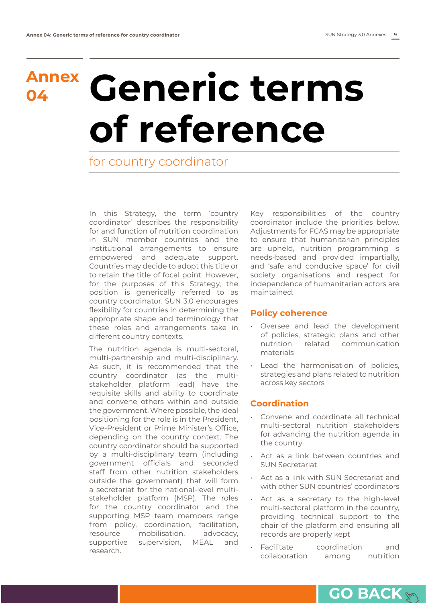## **Annex <sup>04</sup> Generic terms of reference**

### for country coordinator

In this Strategy, the term 'country coordinator' describes the responsibility for and function of nutrition coordination in SUN member countries and the institutional arrangements to ensure empowered and adequate support. Countries may decide to adopt this title or to retain the title of focal point. However, for the purposes of this Strategy, the position is generically referred to as country coordinator. SUN 3.0 encourages flexibility for countries in determining the appropriate shape and terminology that these roles and arrangements take in different country contexts.

The nutrition agenda is multi-sectoral, multi-partnership and multi-disciplinary. As such, it is recommended that the country coordinator (as the multistakeholder platform lead) have the requisite skills and ability to coordinate and convene others within and outside the government. Where possible, the ideal positioning for the role is in the President, Vice-President or Prime Minister's Office, depending on the country context. The country coordinator should be supported by a multi-disciplinary team (including government officials and seconded staff from other nutrition stakeholders outside the government) that will form a secretariat for the national-level multistakeholder platform (MSP). The roles for the country coordinator and the supporting MSP team members range from policy, coordination, facilitation, resource mobilisation, advocacy, supportive supervision, MEAL and research.

Key responsibilities of the country coordinator include the priorities below. Adjustments for FCAS may be appropriate to ensure that humanitarian principles are upheld, nutrition programming is needs-based and provided impartially, and 'safe and conducive space' for civil society organisations and respect for independence of humanitarian actors are maintained.

### **Policy coherence**

- Oversee and lead the development of policies, strategic plans and other nutrition related communication materials
- Lead the harmonisation of policies, strategies and plans related to nutrition across key sectors

### **Coordination**

- Convene and coordinate all technical multi-sectoral nutrition stakeholders for advancing the nutrition agenda in the country
- Act as a link between countries and SUN Secretariat
- Act as a link with SUN Secretariat and with other SUN countries' coordinators
- Act as a secretary to the high-level multi-sectoral platform in the country, providing technical support to the chair of the platform and ensuring all records are properly kept
- Facilitate coordination and collaboration among nutrition

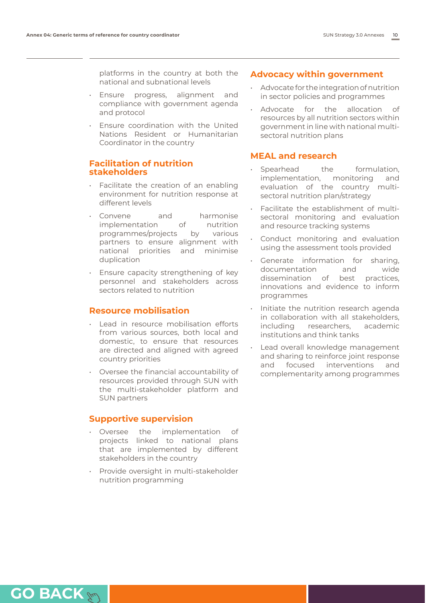platforms in the country at both the national and subnational levels

- Ensure progress, alignment and compliance with government agenda and protocol
- Ensure coordination with the United Nations Resident or Humanitarian Coordinator in the country

### **Facilitation of nutrition stakeholders**

- Facilitate the creation of an enabling environment for nutrition response at different levels
- Convene and harmonise implementation of nutrition programmes/projects by various partners to ensure alignment with national priorities and minimise duplication
- Ensure capacity strengthening of key personnel and stakeholders across sectors related to nutrition

### **Resource mobilisation**

- Lead in resource mobilisation efforts from various sources, both local and domestic, to ensure that resources are directed and aligned with agreed country priorities
- Oversee the financial accountability of resources provided through SUN with the multi-stakeholder platform and SUN partners

### **Supportive supervision**

- Oversee the implementation of projects linked to national plans that are implemented by different stakeholders in the country
- Provide oversight in multi-stakeholder nutrition programming

### **Advocacy within government**

- Advocate for the integration of nutrition in sector policies and programmes
- Advocate for the allocation of resources by all nutrition sectors within government in line with national multisectoral nutrition plans

### **MEAL and research**

- Spearhead the formulation, implementation, monitoring and evaluation of the country multisectoral nutrition plan/strategy
- Facilitate the establishment of multisectoral monitoring and evaluation and resource tracking systems
- Conduct monitoring and evaluation using the assessment tools provided
- Generate information for sharing, documentation and wide dissemination of best practices, innovations and evidence to inform programmes
- Initiate the nutrition research agenda in collaboration with all stakeholders, including researchers, academic institutions and think tanks
- Lead overall knowledge management and sharing to reinforce joint response and focused interventions and complementarity among programmes

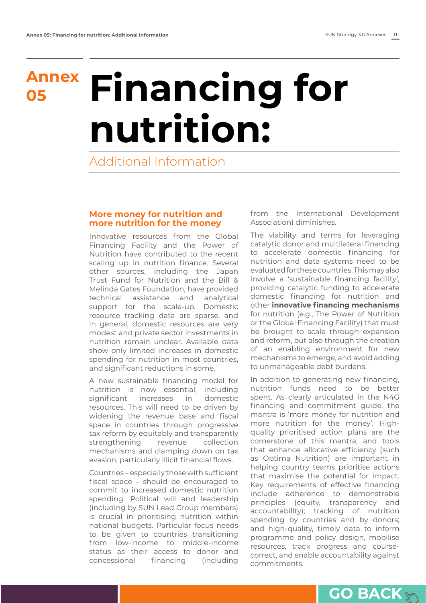# <span id="page-12-0"></span>**Annex <sup>05</sup> Financing for nutrition:**

Additional information

### **More money for nutrition and more nutrition for the money**

Innovative resources from the Global Financing Facility and the Power of Nutrition have contributed to the recent scaling up in nutrition finance. Several other sources, including the Japan Trust Fund for Nutrition and the Bill & Melinda Gates Foundation, have provided technical assistance and analytical support for the scale-up. Domestic resource tracking data are sparse, and in general, domestic resources are very modest and private sector investments in nutrition remain unclear. Available data show only limited increases in domestic spending for nutrition in most countries, and significant reductions in some.

A new sustainable financing model for nutrition is now essential, including significant increases in domestic resources. This will need to be driven by widening the revenue base and fiscal space in countries through progressive tax reform by equitably and transparently strengthening revenue collection mechanisms and clamping down on tax evasion, particularly illicit financial flows.

Countries – especially those with sufficient fiscal space – should be encouraged to commit to increased domestic nutrition spending. Political will and leadership (including by SUN Lead Group members) is crucial in prioritising nutrition within national budgets. Particular focus needs to be given to countries transitioning from low-income to middle-income status as their access to donor and concessional financing (including

from the International Development Association) diminishes.

The viability and terms for leveraging catalytic donor and multilateral financing to accelerate domestic financing for nutrition and data systems need to be evaluated for these countries. This may also involve a 'sustainable financing facility', providing catalytic funding to accelerate domestic financing for nutrition and other **innovative financing mechanisms** for nutrition (e.g., The Power of Nutrition or the Global Financing Facility) that must be brought to scale through expansion and reform, but also through the creation of an enabling environment for new mechanisms to emerge, and avoid adding to unmanageable debt burdens.

In addition to generating new financing, nutrition funds need to be better spent. As clearly articulated in the N4G financing and commitment guide, the mantra is 'more money for nutrition and more nutrition for the money'. Highquality prioritised action plans are the cornerstone of this mantra, and tools that enhance allocative efficiency (such as Optima Nutrition) are important in helping country teams prioritise actions that maximise the potential for impact. Key requirements of effective financing include adherence to demonstrable principles (equity, transparency and accountability); tracking of nutrition spending by countries and by donors; and high-quality, timely data to inform programme and policy design, mobilise resources, track progress and coursecorrect, and enable accountability against commitments.

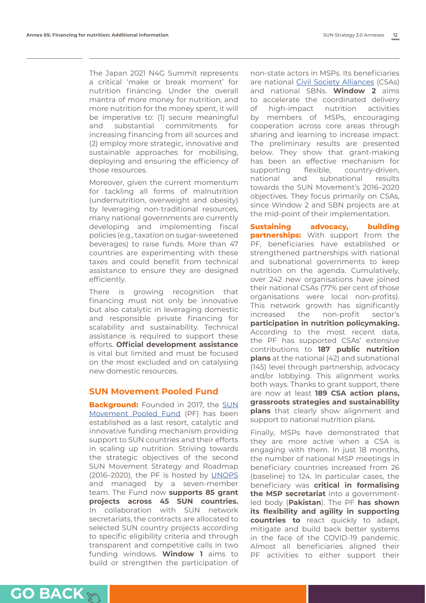The Japan 2021 N4G Summit represents a critical 'make or break moment' for nutrition financing. Under the overall mantra of more money for nutrition, and more nutrition for the money spent, it will be imperative to: (1) secure meaningful and substantial commitments for increasing financing from all sources and (2) employ more strategic, innovative and sustainable approaches for mobilising, deploying and ensuring the efficiency of those resources.

Moreover, given the current momentum for tackling all forms of malnutrition (undernutrition, overweight and obesity) by leveraging non-traditional resources, many national governments are currently developing and implementing fiscal policies (e.g., taxation on sugar-sweetened beverages) to raise funds. More than 47 countries are experimenting with these taxes and could benefit from technical assistance to ensure they are designed efficiently.

There is growing recognition that financing must not only be innovative but also catalytic in leveraging domestic and responsible private financing for scalability and sustainability. Technical assistance is required to support these efforts. **Official development assistance** is vital but limited and must be focused on the most excluded and on catalysing new domestic resources.

### **SUN Movement Pooled Fund**

**Background:** Founded in 2017, the [SUN](https://scalingupnutrition.org/spf/) [Movement Pooled Fund](https://scalingupnutrition.org/spf/) (PF) has been established as a last resort, catalytic and innovative funding mechanism providing support to SUN countries and their efforts in scaling up nutrition. Striving towards the strategic objectives of the second SUN Movement Strategy and Roadmap (2016–2020), the PF is hosted by [UNOPS](https://www.unops.org) and managed by a seven-member team. The Fund now **supports 85 grant projects across 45 SUN countries.** In collaboration with SUN network secretariats, the contracts are allocated to selected SUN country projects according to specific eligibility criteria and through transparent and competitive calls in two funding windows. **Window 1** aims to build or strengthen the participation of

non-state actors in MSPs. Its beneficiaries are national [Civil Society Alliances](https://www.suncivilsociety.com) (CSAs) and national SBNs. **Window 2** aims to accelerate the coordinated delivery of high-impact nutrition activities by members of MSPs, encouraging cooperation across core areas through sharing and learning to increase impact. The preliminary results are presented below. They show that grant-making has been an effective mechanism for supporting flexible, country-driven, national and subnational results towards the SUN Movement's 2016–2020 objectives. They focus primarily on CSAs, since Window 2 and SBN projects are at the mid-point of their implementation.

**Sustaining advocacy, building partnerships:** With support from the PF, beneficiaries have established or strengthened partnerships with national and subnational governments to keep nutrition on the agenda. Cumulatively, over 242 new organisations have joined their national CSAs (77% per cent of those organisations were local non-profits). This network growth has significantly increased the non-profit sector's **participation in nutrition policymaking.** According to the most recent data, the PF has supported CSAs' extensive contributions to **187 public nutrition plans** at the national (42) and subnational (145) level through partnership, advocacy and/or lobbying. This alignment works both ways. Thanks to grant support, there are now at least **189 CSA action plans, grassroots strategies and sustainability plans** that clearly show alignment and support to national nutrition plans.

Finally, MSPs have demonstrated that they are more active when a CSA is engaging with them. In just 18 months, the number of national MSP meetings in beneficiary countries increased from 26 (baseline) to 124. In particular cases, the beneficiary was **critical in formalising the MSP secretariat** into a governmentled body (**Pakistan**). The PF **has shown its flexibility and agility in supporting countries to** react quickly to adapt, mitigate and build back better systems in the face of the COVID-19 pandemic. Almost all beneficiaries aligned their PF activities to either support their

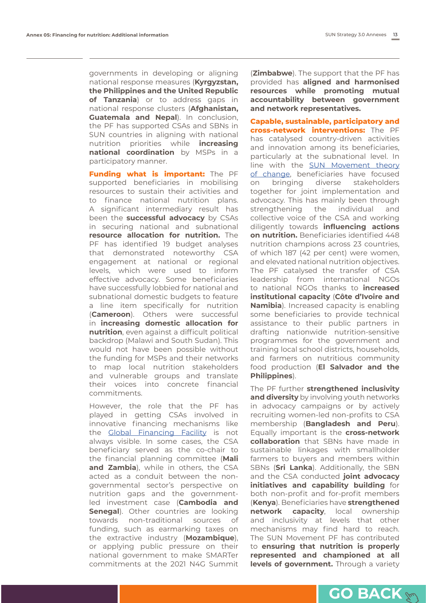governments in developing or aligning national response measures (**Kyrgyzstan, the Philippines and the United Republic of Tanzania**) or to address gaps in national response clusters (**Afghanistan, Guatemala and Nepal**). In conclusion, the PF has supported CSAs and SBNs in SUN countries in aligning with national nutrition priorities while **increasing national coordination** by MSPs in a participatory manner.

**Funding what is important:** The PF supported beneficiaries in mobilising resources to sustain their activities and to finance national nutrition plans. A significant intermediary result has been the **successful advocacy** by CSAs in securing national and subnational **resource allocation for nutrition.** The PF has identified 19 budget analyses that demonstrated noteworthy CSA engagement at national or regional levels, which were used to inform effective advocacy. Some beneficiaries have successfully lobbied for national and subnational domestic budgets to feature a line item specifically for nutrition (**Cameroon**). Others were successful in **increasing domestic allocation for nutrition**, even against a difficult political backdrop (Malawi and South Sudan). This would not have been possible without the funding for MSPs and their networks to map local nutrition stakeholders and vulnerable groups and translate their voices into concrete financial commitments.

However, the role that the PF has played in getting CSAs involved in innovative financing mechanisms like the **Global Financing Facility** is not always visible. In some cases, the CSA beneficiary served as the co-chair to the financial planning committee (**Mali and Zambia**), while in others, the CSA acted as a conduit between the nongovernmental sector's perspective on nutrition gaps and the governmentled investment case (**Cambodia and Senegal**). Other countries are looking towards non-traditional sources of funding, such as earmarking taxes on the extractive industry (**Mozambique**), or applying public pressure on their national government to make SMARTer commitments at the 2021 N4G Summit (**Zimbabwe**). The support that the PF has provided has **aligned and harmonised resources while promoting mutual accountability between government and network representatives.**

**Capable, sustainable, participatory and cross-network interventions:** The PF has catalysed country-driven activities and innovation among its beneficiaries, particularly at the subnational level. In line with the **[SUN Movement theory](https://scalingupnutrition.org/progress-impact/more-about-meal/#theory)** [of change](https://scalingupnutrition.org/progress-impact/more-about-meal/#theory), beneficiaries have focused on bringing diverse stakeholders together for joint implementation and advocacy. This has mainly been through strengthening the individual and collective voice of the CSA and working diligently towards **influencing actions on nutrition.** Beneficiaries identified 448 nutrition champions across 23 countries, of which 187 (42 per cent) were women, and elevated national nutrition objectives. The PF catalysed the transfer of CSA leadership from international NGOs to national NGOs thanks to **increased institutional capacity** (**Côte d'Ivoire and Namibia**). Increased capacity is enabling some beneficiaries to provide technical assistance to their public partners in drafting nationwide nutrition-sensitive programmes for the government and training local school districts, households, and farmers on nutritious community food production (**El Salvador and the Philippines**).

The PF further **strengthened inclusivity and diversity** by involving youth networks in advocacy campaigns or by actively recruiting women-led non-profits to CSA membership (**Bangladesh and Peru**). Equally important is the **cross-network collaboration** that SBNs have made in sustainable linkages with smallholder farmers to buyers and members within SBNs (**Sri Lanka**). Additionally, the SBN and the CSA conducted **joint advocacy initiatives and capability building** for both non-profit and for-profit members (**Kenya**). Beneficiaries have **strengthened network capacity**, local ownership and inclusivity at levels that other mechanisms may find hard to reach. The SUN Movement PF has contributed to **ensuring that nutrition is properly represented and championed at all levels of government.** Through a variety

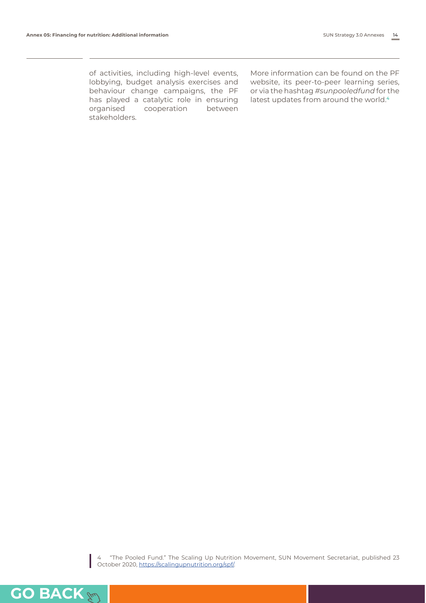of activities, including high-level events, lobbying, budget analysis exercises and behaviour change campaigns, the PF has played a catalytic role in ensuring organised cooperation between stakeholders.

More information can be found on the PF website, its peer-to-peer learning series, or via the hashtag *#sunpooledfund* for the latest updates from around the world.**4**

4 "The Pooled Fund." The Scaling Up Nutrition Movement, SUN Movement Secretariat, published 23 October 2020,<https://scalingupnutrition.org/spf/>.

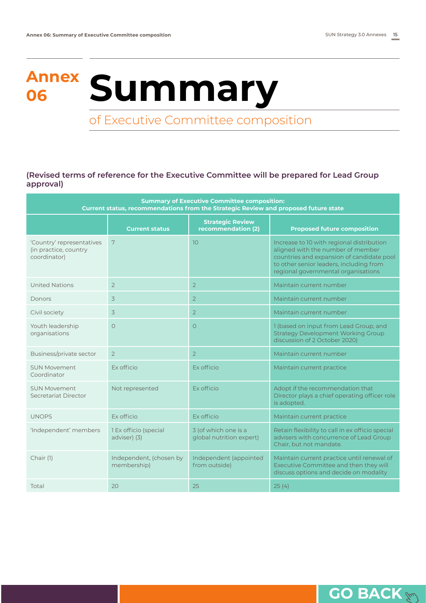# <span id="page-16-0"></span>**Annex <sup>06</sup> Summary**

### of Executive Committee composition

**(Revised terms of reference for the Executive Committee will be prepared for Lead Group approval)**

| <b>Summary of Executive Committee composition:</b><br>Current status, recommendations from the Strategic Review and proposed future state |                                        |                                                  |                                                                                                                                                                                                               |  |  |  |
|-------------------------------------------------------------------------------------------------------------------------------------------|----------------------------------------|--------------------------------------------------|---------------------------------------------------------------------------------------------------------------------------------------------------------------------------------------------------------------|--|--|--|
|                                                                                                                                           | <b>Current status</b>                  | <b>Strategic Review</b><br>recommendation (2)    | <b>Proposed future composition</b>                                                                                                                                                                            |  |  |  |
| 'Country' representatives<br>(in practice, country<br>coordinator)                                                                        | 7                                      | 10                                               | Increase to 10 with regional distribution<br>aligned with the number of member<br>countries and expansion of candidate pool<br>to other senior leaders, including from<br>regional governmental organisations |  |  |  |
| <b>United Nations</b>                                                                                                                     | $\overline{2}$                         | $\overline{2}$                                   | Maintain current number                                                                                                                                                                                       |  |  |  |
| Donors                                                                                                                                    | $\overline{3}$                         | $\overline{2}$                                   | Maintain current number                                                                                                                                                                                       |  |  |  |
| Civil society                                                                                                                             | 3                                      | $\overline{2}$                                   | Maintain current number                                                                                                                                                                                       |  |  |  |
| Youth leadership<br>organisations                                                                                                         | $\circ$                                | $\circ$                                          | 1 (based on input from Lead Group, and<br><b>Strategy Development Working Group</b><br>discussion of 2 October 2020)                                                                                          |  |  |  |
| Business/private sector                                                                                                                   | $\overline{2}$                         | 2                                                | Maintain current number                                                                                                                                                                                       |  |  |  |
| <b>SUN Movement</b><br>Coordinator                                                                                                        | Ex officio                             | Ex officio                                       | Maintain current practice                                                                                                                                                                                     |  |  |  |
| <b>SUN Movement</b><br>Secretariat Director                                                                                               | Not represented                        | <b>Ex officio</b>                                | Adopt if the recommendation that<br>Director plays a chief operating officer role<br>is adopted.                                                                                                              |  |  |  |
| <b>UNOPS</b>                                                                                                                              | Ex officio                             | Ex officio                                       | Maintain current practice                                                                                                                                                                                     |  |  |  |
| 'Independent' members                                                                                                                     | 1 Ex officio (special<br>adviser) (3)  | 3 (of which one is a<br>global nutrition expert) | Retain flexibility to call in ex officio special<br>advisers with concurrence of Lead Group<br>Chair, but not mandate.                                                                                        |  |  |  |
| Chair (1)                                                                                                                                 | Independent, (chosen by<br>membership) | Independent (appointed<br>from outside)          | Maintain current practice until renewal of<br>Executive Committee and then they will<br>discuss options and decide on modality                                                                                |  |  |  |
| Total                                                                                                                                     | 20                                     | 25                                               | 25(4)                                                                                                                                                                                                         |  |  |  |

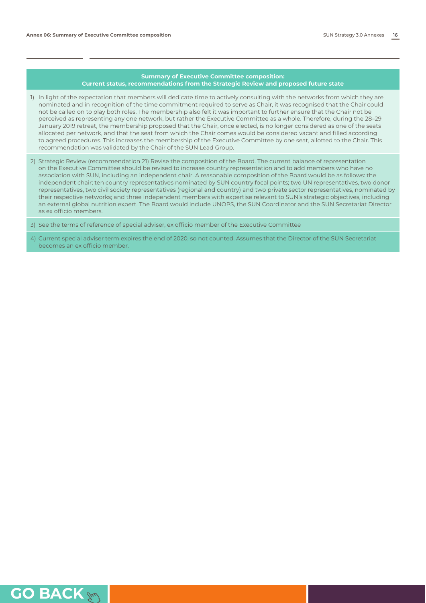#### **Summary of Executive Committee composition: Current status, recommendations from the Strategic Review and proposed future state**

- 1) In light of the expectation that members will dedicate time to actively consulting with the networks from which they are nominated and in recognition of the time commitment required to serve as Chair, it was recognised that the Chair could not be called on to play both roles. The membership also felt it was important to further ensure that the Chair not be perceived as representing any one network, but rather the Executive Committee as a whole. Therefore, during the 28–29 January 2019 retreat, the membership proposed that the Chair, once elected, is no longer considered as one of the seats allocated per network, and that the seat from which the Chair comes would be considered vacant and filled according to agreed procedures. This increases the membership of the Executive Committee by one seat, allotted to the Chair. This recommendation was validated by the Chair of the SUN Lead Group.
- 2) Strategic Review (recommendation 21) Revise the composition of the Board. The current balance of representation on the Executive Committee should be revised to increase country representation and to add members who have no association with SUN, including an independent chair. A reasonable composition of the Board would be as follows: the independent chair; ten country representatives nominated by SUN country focal points; two UN representatives, two donor representatives, two civil society representatives (regional and country) and two private sector representatives, nominated by their respective networks; and three independent members with expertise relevant to SUN's strategic objectives, including an external global nutrition expert. The Board would include UNOPS, the SUN Coordinator and the SUN Secretariat Director as ex officio members.

3) See the terms of reference of special adviser, ex officio member of the Executive Committee

4) Current special adviser term expires the end of 2020, so not counted. Assumes that the Director of the SUN Secretariat becomes an ex officio member.

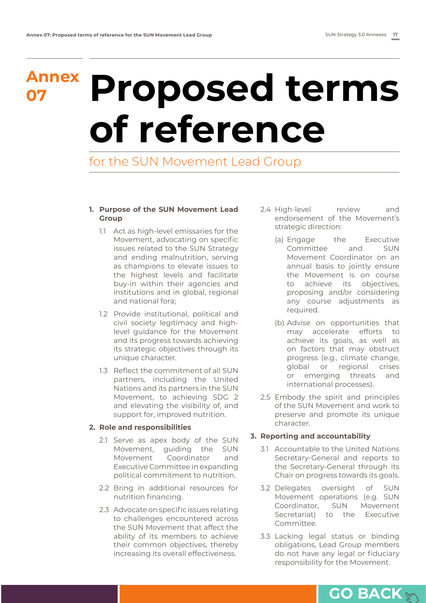### <span id="page-18-0"></span>**Annex**

## **<sup>07</sup> Proposed terms of reference**

for the SUN Movement Lead Group

### **1. Purpose of the SUN Movement Lead Group**

- 1.1 Act as high-level emissaries for the Movement, advocating on specific issues related to the SUN Strategy and ending malnutrition, serving as champions to elevate issues to the highest levels and facilitate buy-in within their agencies and institutions and in global, regional and national fora;
- 1.2 Provide institutional, political and civil society legitimacy and highlevel guidance for the Movement and its progress towards achieving its strategic objectives through its unique character.
- 1.3 Reflect the commitment of all SUN partners, including the United Nations and its partners in the SUN Movement, to achieving SDG 2 and elevating the visibility of, and support for, improved nutrition.

### **2. Role and responsibilities**

- 2.1 Serve as apex body of the SUN Movement, guiding the SUN Movement Coordinator and Executive Committee in expanding political commitment to nutrition.
- 2.2 Bring in additional resources for nutrition financing.
- 2.3 Advocate on specific issues relating to challenges encountered across the SUN Movement that affect the ability of its members to achieve their common objectives, thereby increasing its overall effectiveness.
- 2.4 High-level review and endorsement of the Movement's strategic direction:
	- (a) Engage the Executive Committee and SUN Movement Coordinator on an annual basis to jointly ensure the Movement is on course to achieve its objectives, proposing and/or considering any course adjustments as required.
	- (b) Advise on opportunities that may accelerate efforts to achieve its goals, as well as on factors that may obstruct progress (e.g., climate change, global or regional crises or emerging threats and international processes).
- 2.5 Embody the spirit and principles of the SUN Movement and work to preserve and promote its unique character.

### **3. Reporting and accountability**

- 3.1 Accountable to the United Nations Secretary-General and reports to the Secretary-General through its Chair on progress towards its goals.
- 3.2 Delegates oversight of SUN Movement operations (e.g. SUN Coordinator, SUN Movement Secretariat) to the Executive Committee.
- 3.3 Lacking legal status or binding obligations, Lead Group members do not have any legal or fiduciary responsibility for the Movement.

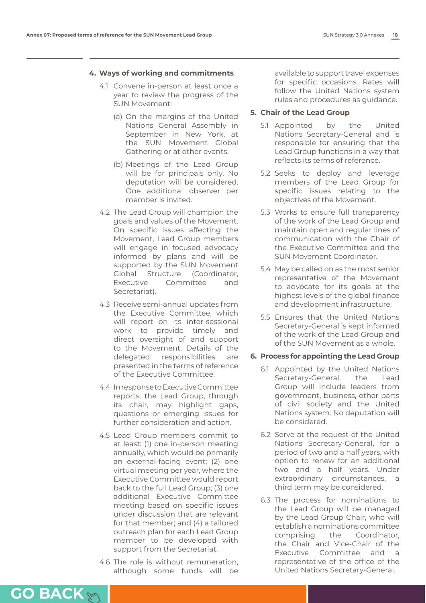#### **4. Ways of working and commitments**

- 4.1 Convene in-person at least once a year to review the progress of the SUN Movement:
	- (a) On the margins of the United Nations General Assembly in September in New York, at the SUN Movement Global Gathering or at other events.
	- (b) Meetings of the Lead Group will be for principals only. No deputation will be considered. One additional observer per member is invited.
- 4.2 The Lead Group will champion the goals and values of the Movement. On specific issues affecting the Movement, Lead Group members will engage in focused advocacy informed by plans and will be supported by the SUN Movement Global Structure (Coordinator, Executive Committee and Secretariat).
- 4.3 Receive semi-annual updates from the Executive Committee, which will report on its inter-sessional work to provide timely and direct oversight of and support to the Movement. Details of the delegated responsibilities are presented in the terms of reference of the Executive Committee.
- 4.4 In response to Executive Committee reports, the Lead Group, through its chair, may highlight gaps, questions or emerging issues for further consideration and action.
- 4.5 Lead Group members commit to at least: (1) one in-person meeting annually, which would be primarily an external-facing event; (2) one virtual meeting per year, where the Executive Committee would report back to the full Lead Group; (3) one additional Executive Committee meeting based on specific issues under discussion that are relevant for that member; and (4) a tailored outreach plan for each Lead Group member to be developed with support from the Secretariat.
- 4.6 The role is without remuneration, although some funds will be

available to support travel expenses for specific occasions. Rates will follow the United Nations system rules and procedures as guidance.

#### **5. Chair of the Lead Group**

- 5.1 Appointed by the United Nations Secretary-General and is responsible for ensuring that the Lead Group functions in a way that reflects its terms of reference.
- 5.2 Seeks to deploy and leverage members of the Lead Group for specific issues relating to the objectives of the Movement.
- 5.3 Works to ensure full transparency of the work of the Lead Group and maintain open and regular lines of communication with the Chair of the Executive Committee and the SUN Movement Coordinator.
- 5.4 May be called on as the most senior representative of the Movement to advocate for its goals at the highest levels of the global finance and development infrastructure.
- 5.5 Ensures that the United Nations Secretary-General is kept informed of the work of the Lead Group and of the SUN Movement as a whole.

### **6. Process for appointing the Lead Group**

- 6.1 Appointed by the United Nations Secretary-General, the Lead Group will include leaders from government, business, other parts of civil society and the United Nations system. No deputation will be considered.
- 6.2 Serve at the request of the United Nations Secretary-General, for a period of two and a half years, with option to renew for an additional two and a half years. Under extraordinary circumstances, a third term may be considered.
- 6.3 The process for nominations to the Lead Group will be managed by the Lead Group Chair, who will establish a nominations committee comprising the Coordinator, the Chair and Vice-Chair of the Executive Committee and a representative of the office of the United Nations Secretary-General.

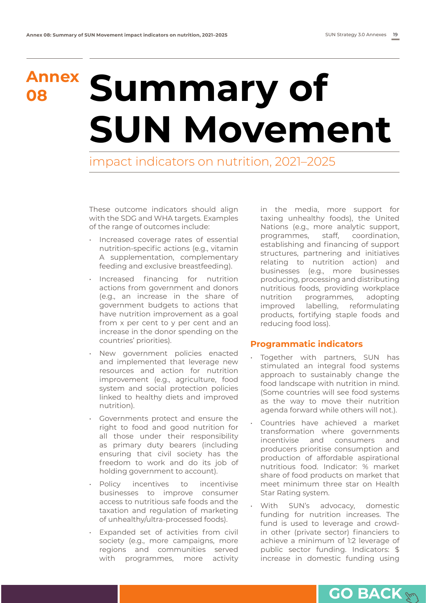## **Annex <sup>08</sup> Summary of SUN Movement**

impact indicators on nutrition, 2021–2025

These outcome indicators should align with the SDG and WHA targets. Examples of the range of outcomes include:

- Increased coverage rates of essential nutrition-specific actions (e.g., vitamin A supplementation, complementary feeding and exclusive breastfeeding).
- Increased financing for nutrition actions from government and donors (e.g., an increase in the share of government budgets to actions that have nutrition improvement as a goal from x per cent to y per cent and an increase in the donor spending on the countries' priorities).
- New government policies enacted and implemented that leverage new resources and action for nutrition improvement (e.g., agriculture, food system and social protection policies linked to healthy diets and improved nutrition).
- Governments protect and ensure the right to food and good nutrition for all those under their responsibility as primary duty bearers (including ensuring that civil society has the freedom to work and do its job of holding government to account).
- Policy incentives to incentivise businesses to improve consumer access to nutritious safe foods and the taxation and regulation of marketing of unhealthy/ultra-processed foods).
- Expanded set of activities from civil society (e.g., more campaigns, more regions and communities served with programmes, more activity

in the media, more support for taxing unhealthy foods), the United Nations (e.g., more analytic support, programmes, staff, coordination, establishing and financing of support structures, partnering and initiatives relating to nutrition action) and businesses (e.g., more businesses producing, processing and distributing nutritious foods, providing workplace nutrition programmes, adopting improved labelling, reformulating products, fortifying staple foods and reducing food loss).

### **Programmatic indicators**

- Together with partners, SUN has stimulated an integral food systems approach to sustainably change the food landscape with nutrition in mind. (Some countries will see food systems as the way to move their nutrition agenda forward while others will not.).
- Countries have achieved a market transformation where governments incentivise and consumers and producers prioritise consumption and production of affordable aspirational nutritious food. Indicator: % market share of food products on market that meet minimum three star on Health Star Rating system.
- With SUN's advocacy, domestic funding for nutrition increases. The fund is used to leverage and crowdin other (private sector) financiers to achieve a minimum of 1:2 leverage of public sector funding. Indicators: \$ increase in domestic funding using

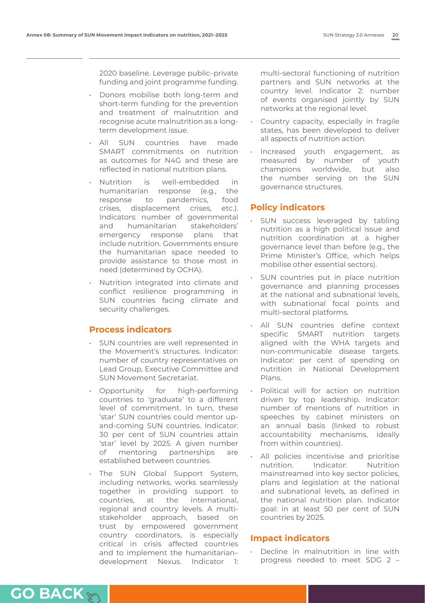2020 baseline. Leverage public–private funding and joint programme funding.

- Donors mobilise both long-term and short-term funding for the prevention and treatment of malnutrition and recognise acute malnutrition as a longterm development issue.
- All SUN countries have made SMART commitments on nutrition as outcomes for N4G and these are reflected in national nutrition plans.
- Nutrition is well-embedded in humanitarian response (e.g., the response to pandemics, food crises, displacement crises, etc.). Indicators: number of governmental and humanitarian stakeholders' emergency response plans that include nutrition. Governments ensure the humanitarian space needed to provide assistance to those most in need (determined by OCHA).
- Nutrition integrated into climate and conflict resilience programming in SUN countries facing climate and security challenges.

### **Process indicators**

- SUN countries are well represented in the Movement's structures. Indicator: number of country representatives on Lead Group, Executive Committee and SUN Movement Secretariat.
- Opportunity for high-performing countries to 'graduate' to a different level of commitment. In turn, these 'star' SUN countries could mentor upand-coming SUN countries. Indicator: 30 per cent of SUN countries attain 'star' level by 2025. A given number of mentoring partnerships are established between countries.
- The SUN Global Support System, including networks, works seamlessly together in providing support to countries, at the international, regional and country levels. A multistakeholder approach, based on trust by empowered government country coordinators, is especially critical in crisis affected countries and to implement the humanitarian– development Nexus. Indicator 1:

**[GO BACK](#page-2-0)**

multi-sectoral functioning of nutrition partners and SUN networks at the country level. Indicator 2: number of events organised jointly by SUN networks at the regional level.

- Country capacity, especially in fragile states, has been developed to deliver all aspects of nutrition action.
- Increased youth engagement, as measured by number of youth champions worldwide, but also the number serving on the SUN governance structures.

### **Policy indicators**

- SUN success leveraged by tabling nutrition as a high political issue and nutrition coordination at a higher governance level than before (e.g., the Prime Minister's Office, which helps mobilise other essential sectors).
- SUN countries put in place nutrition governance and planning processes at the national and subnational levels, with subnational focal points and multi-sectoral platforms.
- All SUN countries define context specific SMART nutrition targets aligned with the WHA targets and non-communicable disease targets. Indicator: per cent of spending on nutrition in National Development Plans.
- Political will for action on nutrition driven by top leadership. Indicator: number of mentions of nutrition in speeches by cabinet ministers on an annual basis (linked to robust accountability mechanisms, ideally from within countries).
- All policies incentivise and prioritise nutrition. Indicator: Nutrition mainstreamed into key sector policies, plans and legislation at the national and subnational levels, as defined in the national nutrition plan. Indicator goal: in at least 50 per cent of SUN countries by 2025.

### **Impact indicators**

Decline in malnutrition in line with progress needed to meet SDG 2 –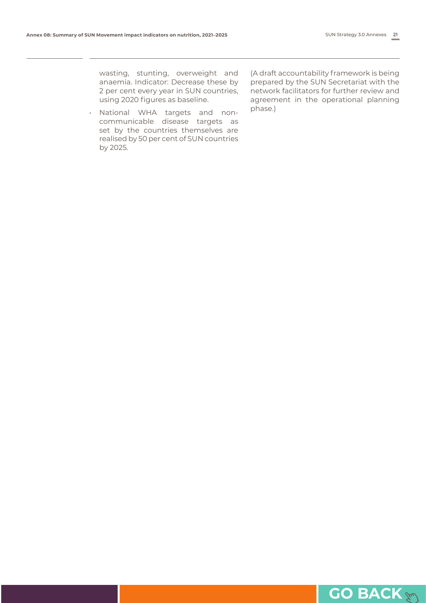wasting, stunting, overweight and anaemia. Indicator: Decrease these by 2 per cent every year in SUN countries, using 2020 figures as baseline.

• National WHA targets and noncommunicable disease targets as set by the countries themselves are realised by 50 per cent of SUN countries by 2025.

(A draft accountability framework is being prepared by the SUN Secretariat with the network facilitators for further review and agreement in the operational planning phase.)

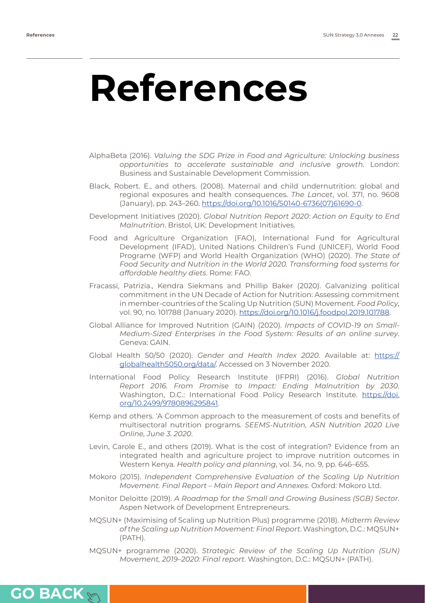**[GO BACK](#page-2-0)**

### <span id="page-23-0"></span>**References**

- AlphaBeta (2016). *Valuing the SDG Prize in Food and Agriculture: Unlocking business opportunities to accelerate sustainable and inclusive growth.* London: Business and Sustainable Development Commission.
- Black, Robert. E., and others. (2008). Maternal and child undernutrition: global and regional exposures and health consequences. *The Lancet*, vol. 371, no. 9608 (January), pp. 243–260. [https://doi.org/10.1016/S0140-6736\(07\)61690-0](https://doi.org/10.1016/S0140-6736(07)61690-0).
- Development Initiatives (2020). *Global Nutrition Report 2020: Action on Equity to End Malnutrition*. Bristol, UK: Development Initiatives.
- Food and Agriculture Organization (FAO), International Fund for Agricultural Development (IFAD), United Nations Children's Fund (UNICEF), World Food Programe (WFP) and World Health Organization (WHO) (2020). *The State of Food Security and Nutrition in the World 2020. Transforming food systems for affordable healthy diets*. Rome: FAO.
- Fracassi, Patrizia., Kendra Siekmans and Phillip Baker (2020). Galvanizing political commitment in the UN Decade of Action for Nutrition: Assessing commitment in member-countries of the Scaling Up Nutrition (SUN) Movement. *Food Policy*, vol. 90, no. 101788 (January 2020).<https://doi.org/10.1016/j.foodpol.2019.101788>.
- Global Alliance for Improved Nutrition (GAIN) (2020). *Impacts of COVID-19 on Small-Medium-Sized Enterprises in the Food System: Results of an online survey*. Geneva: GAIN.
- Global Health 50/50 (2020). *Gender and Health Index 2020*. Available at: [https://](https://globalhealth5050.org/data/) [globalhealth5050.org/data/.](https://globalhealth5050.org/data/) Accessed on 3 November 2020.
- International Food Policy Research Institute (IFPRI) (2016). *Global Nutrition Report 2016. From Promise to Impact: Ending Malnutrition by 2030*. Washington, D.C.: International Food Policy Research Institute. [https://doi.](https://doi.org/10.2499/9780896295841) [org/10.2499/9780896295841.](https://doi.org/10.2499/9780896295841)
- Kemp and others. 'A Common approach to the measurement of costs and benefits of multisectoral nutrition programs. *SEEMS-Nutrition, ASN Nutrition 2020 Live Online, June 3. 2020*.
- Levin, Carole E., and others (2019). What is the cost of integration? Evidence from an integrated health and agriculture project to improve nutrition outcomes in Western Kenya. *Health policy and planning*, vol. 34, no. 9, pp. 646–655.
- Mokoro (2015). *Independent Comprehensive Evaluation of the Scaling Up Nutrition Movement. Final Report – Main Report and Annexes*. Oxford: Mokoro Ltd.
- Monitor Deloitte (2019). *A Roadmap for the Small and Growing Business (SGB) Sector*. Aspen Network of Development Entrepreneurs.
- MQSUN+ (Maximising of Scaling up Nutrition Plus) programme (2018). *Midterm Review of the Scaling up Nutrition Movement: Final Report*. Washington, D.C.: MQSUN+ (PATH).
- MQSUN+ programme (2020). *Strategic Review of the Scaling Up Nutrition (SUN) Movement, 2019–2020: Final report*. Washington, D.C.: MQSUN+ (PATH).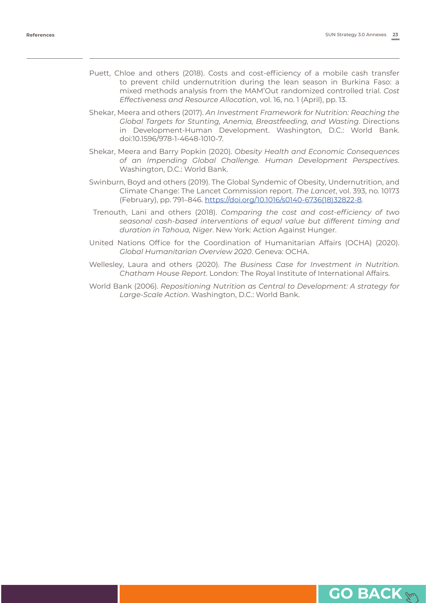- Puett, Chloe and others (2018). Costs and cost-efficiency of a mobile cash transfer to prevent child undernutrition during the lean season in Burkina Faso: a mixed methods analysis from the MAM'Out randomized controlled trial. *Cost Effectiveness and Resource Allocation*, vol. 16, no. 1 (April), pp. 13.
- Shekar, Meera and others (2017). *An Investment Framework for Nutrition: Reaching the Global Targets for Stunting, Anemia, Breastfeeding, and Wasting*. Directions in Development-Human Development. Washington, D.C.: World Bank. doi:10.1596/978-1-4648-1010-7.
- Shekar, Meera and Barry Popkin (2020). *Obesity Health and Economic Consequences of an Impending Global Challenge. Human Development Perspectives*. Washington, D.C.: World Bank.
- Swinburn, Boyd and others (2019). The Global Syndemic of Obesity, Undernutrition, and Climate Change: The Lancet Commission report. *The Lancet*, vol. 393, no. 10173 (February), pp. 791–846. [https://doi.org/10.1016/s0140-6736\(18\)32822-8.](https://doi.org/10.1016/s0140-6736(18)32822-8)
- Trenouth, Lani and others (2018). *Comparing the cost and cost-efficiency of two seasonal cash-based interventions of equal value but different timing and duration in Tahoua, Niger*. New York: Action Against Hunger.
- United Nations Office for the Coordination of Humanitarian Affairs (OCHA) (2020). *Global Humanitarian Overview 2020*. Geneva: OCHA.
- Wellesley, Laura and others (2020). *The Business Case for Investment in Nutrition. Chatham House Report*. London: The Royal Institute of International Affairs.
- World Bank (2006). *Repositioning Nutrition as Central to Development: A strategy for Large-Scale Action*. Washington, D.C.: World Bank.